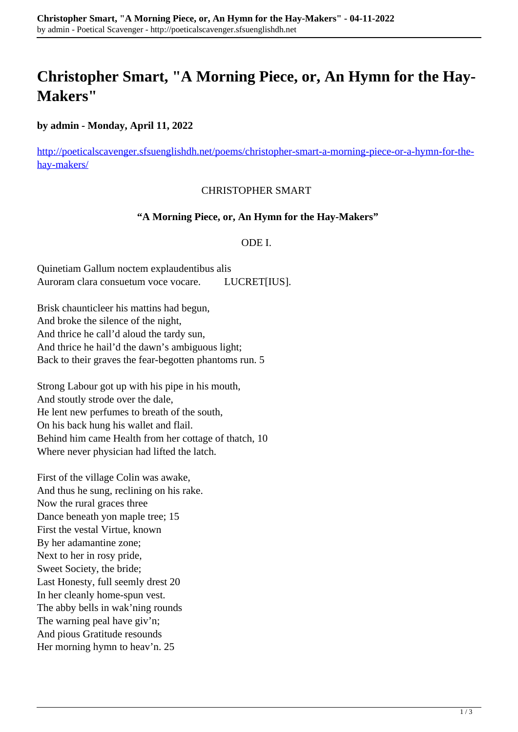# **Christopher Smart, "A Morning Piece, or, An Hymn for the Hay-Makers"**

**by admin - Monday, April 11, 2022**

[http://poeticalscavenger.sfsuenglishdh.net/poems/christopher-smart-a-morning-piece-or-a-hymn-for-the](http://poeticalscavenger.sfsuenglishdh.net/poems/christopher-smart-a-morning-piece-or-a-hymn-for-the-hay-makers/)[hay-makers/](http://poeticalscavenger.sfsuenglishdh.net/poems/christopher-smart-a-morning-piece-or-a-hymn-for-the-hay-makers/)

### CHRISTOPHER SMART

#### **"A Morning Piece, or, An Hymn for the Hay-Makers"**

#### ODE I.

Quinetiam Gallum noctem explaudentibus alis Auroram clara consuetum voce vocare. LUCRET[IUS].

Brisk chaunticleer his mattins had begun, And broke the silence of the night, And thrice he call'd aloud the tardy sun, And thrice he hail'd the dawn's ambiguous light; Back to their graves the fear-begotten phantoms run. 5

Strong Labour got up with his pipe in his mouth, And stoutly strode over the dale, He lent new perfumes to breath of the south, On his back hung his wallet and flail. Behind him came Health from her cottage of thatch, 10 Where never physician had lifted the latch.

First of the village Colin was awake, And thus he sung, reclining on his rake. Now the rural graces three Dance beneath yon maple tree; 15 First the vestal Virtue, known By her adamantine zone; Next to her in rosy pride, Sweet Society, the bride; Last Honesty, full seemly drest 20 In her cleanly home-spun vest. The abby bells in wak'ning rounds The warning peal have giv'n; And pious Gratitude resounds Her morning hymn to heav'n. 25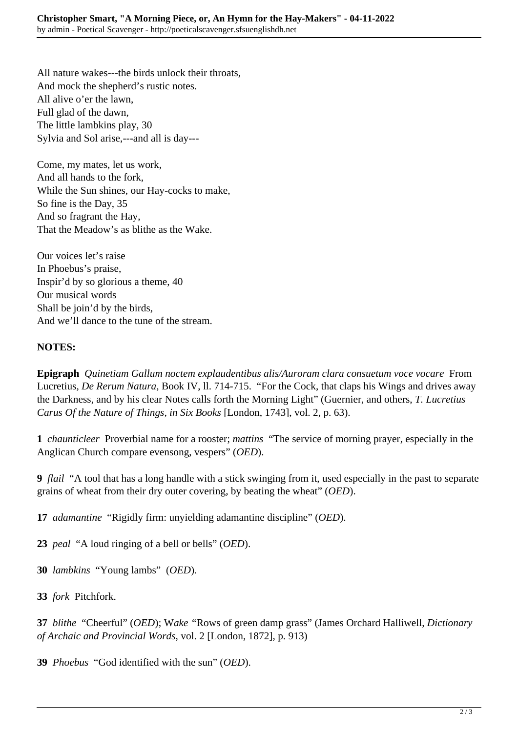All nature wakes---the birds unlock their throats, And mock the shepherd's rustic notes. All alive o'er the lawn, Full glad of the dawn, The little lambkins play, 30 Sylvia and Sol arise,---and all is day---

Come, my mates, let us work, And all hands to the fork, While the Sun shines, our Hay-cocks to make, So fine is the Day, 35 And so fragrant the Hay, That the Meadow's as blithe as the Wake.

Our voices let's raise In Phoebus's praise, Inspir'd by so glorious a theme, 40 Our musical words Shall be join'd by the birds, And we'll dance to the tune of the stream.

## **NOTES:**

**Epigraph** *Quinetiam Gallum noctem explaudentibus alis/Auroram clara consuetum voce vocare* From Lucretius, *De Rerum Natura*, Book IV, ll. 714-715. "For the Cock, that claps his Wings and drives away the Darkness, and by his clear Notes calls forth the Morning Light" (Guernier, and others, *T. Lucretius Carus Of the Nature of Things, in Six Books* [London, 1743], vol. 2, p. 63).

**1** *chaunticleer* Proverbial name for a rooster; *mattins* "The service of morning prayer, especially in the Anglican Church compare evensong, vespers" (*OED*).

**9** *flail* "A tool that has a long handle with a stick swinging from it, used especially in the past to separate grains of wheat from their dry outer covering, by beating the wheat" (*OED*).

**17** *adamantine* "Rigidly firm: unyielding adamantine discipline" (*OED*).

**23** *peal* "A loud ringing of a bell or bells" (*OED*).

**30** *lambkins* "Young lambs" (*OED*).

**33** *fork* Pitchfork.

**37** *blithe* "Cheerful" (*OED*); W*ake "*Rows of green damp grass" (James Orchard Halliwell, *Dictionary of Archaic and Provincial Words*, vol. 2 [London, 1872], p. 913)

**39** *Phoebus* "God identified with the sun" (*OED*).